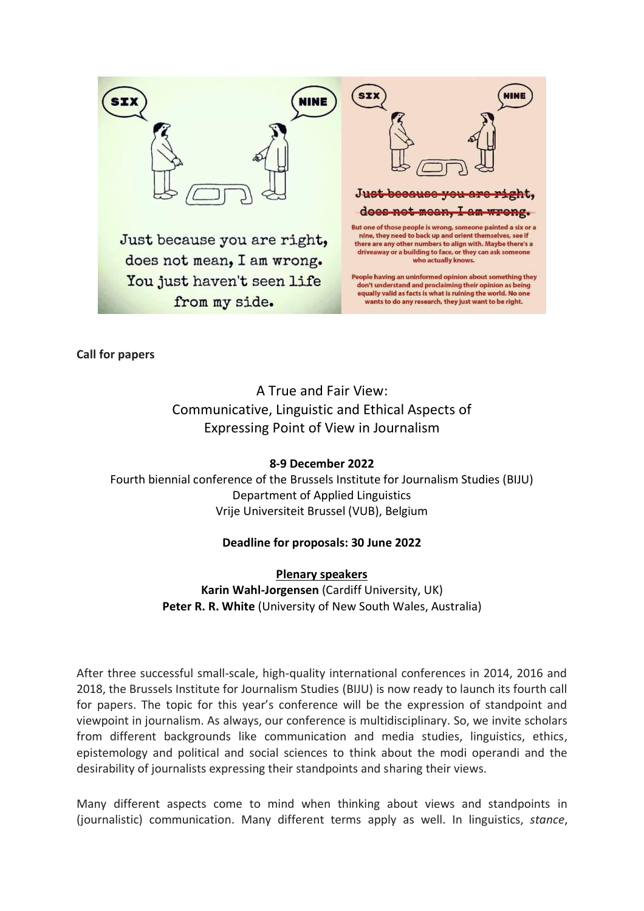

**Call for papers** 

A True and Fair View: Communicative, Linguistic and Ethical Aspects of Expressing Point of View in Journalism

**8-9 December 2022** Fourth biennial conference of the Brussels Institute for Journalism Studies (BIJU) Department of Applied Linguistics Vrije Universiteit Brussel (VUB), Belgium

## **Deadline for proposals: 30 June 2022**

**Plenary speakers Karin Wahl-Jorgensen** (Cardiff University, UK) **Peter R. R. White** (University of New South Wales, Australia)

After three successful small-scale, high-quality international conferences in 2014, 2016 and 2018, the Brussels Institute for Journalism Studies (BIJU) is now ready to launch its fourth call for papers. The topic for this year's conference will be the expression of standpoint and viewpoint in journalism. As always, our conference is multidisciplinary. So, we invite scholars from different backgrounds like communication and media studies, linguistics, ethics, epistemology and political and social sciences to think about the modi operandi and the desirability of journalists expressing their standpoints and sharing their views.

Many different aspects come to mind when thinking about views and standpoints in (journalistic) communication. Many different terms apply as well. In linguistics, *stance*,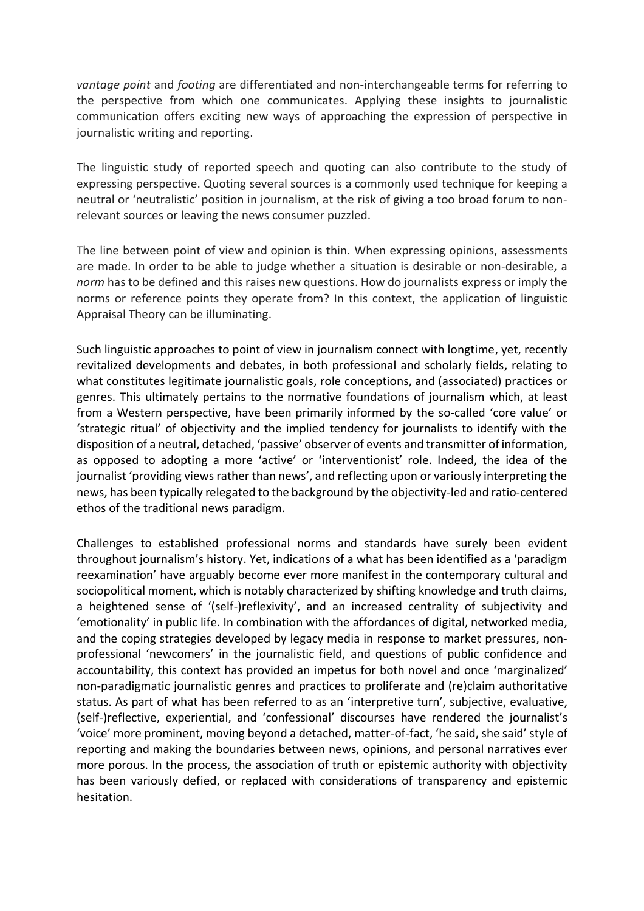*vantage point* and *footing* are differentiated and non-interchangeable terms for referring to the perspective from which one communicates. Applying these insights to journalistic communication offers exciting new ways of approaching the expression of perspective in journalistic writing and reporting.

The linguistic study of reported speech and quoting can also contribute to the study of expressing perspective. Quoting several sources is a commonly used technique for keeping a neutral or 'neutralistic' position in journalism, at the risk of giving a too broad forum to nonrelevant sources or leaving the news consumer puzzled.

The line between point of view and opinion is thin. When expressing opinions, assessments are made. In order to be able to judge whether a situation is desirable or non-desirable, a *norm* has to be defined and this raises new questions. How do journalists express or imply the norms or reference points they operate from? In this context, the application of linguistic Appraisal Theory can be illuminating.

Such linguistic approaches to point of view in journalism connect with longtime, yet, recently revitalized developments and debates, in both professional and scholarly fields, relating to what constitutes legitimate journalistic goals, role conceptions, and (associated) practices or genres. This ultimately pertains to the normative foundations of journalism which, at least from a Western perspective, have been primarily informed by the so-called 'core value' or 'strategic ritual' of objectivity and the implied tendency for journalists to identify with the disposition of a neutral, detached, 'passive' observer of events and transmitter of information, as opposed to adopting a more 'active' or 'interventionist' role. Indeed, the idea of the journalist 'providing views rather than news', and reflecting upon or variously interpreting the news, has been typically relegated to the background by the objectivity-led and ratio-centered ethos of the traditional news paradigm.

Challenges to established professional norms and standards have surely been evident throughout journalism's history. Yet, indications of a what has been identified as a 'paradigm reexamination' have arguably become ever more manifest in the contemporary cultural and sociopolitical moment, which is notably characterized by shifting knowledge and truth claims, a heightened sense of '(self-)reflexivity', and an increased centrality of subjectivity and 'emotionality' in public life. In combination with the affordances of digital, networked media, and the coping strategies developed by legacy media in response to market pressures, nonprofessional 'newcomers' in the journalistic field, and questions of public confidence and accountability, this context has provided an impetus for both novel and once 'marginalized' non-paradigmatic journalistic genres and practices to proliferate and (re)claim authoritative status. As part of what has been referred to as an 'interpretive turn', subjective, evaluative, (self-)reflective, experiential, and 'confessional' discourses have rendered the journalist's 'voice' more prominent, moving beyond a detached, matter-of-fact, 'he said, she said' style of reporting and making the boundaries between news, opinions, and personal narratives ever more porous. In the process, the association of truth or epistemic authority with objectivity has been variously defied, or replaced with considerations of transparency and epistemic hesitation.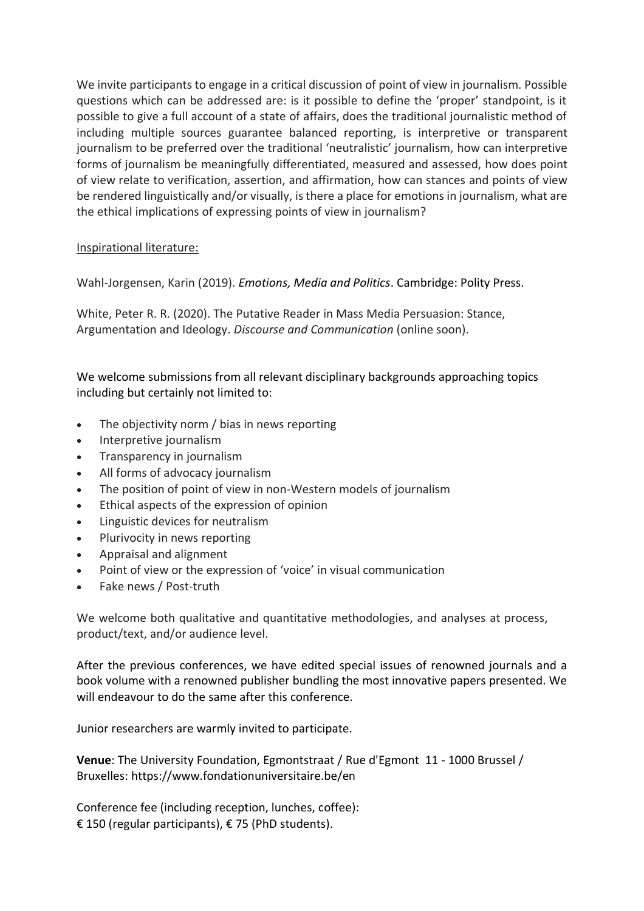We invite participants to engage in a critical discussion of point of view in journalism. Possible questions which can be addressed are: is it possible to define the 'proper' standpoint, is it possible to give a full account of a state of affairs, does the traditional journalistic method of including multiple sources guarantee balanced reporting, is interpretive or transparent journalism to be preferred over the traditional 'neutralistic' journalism, how can interpretive forms of journalism be meaningfully differentiated, measured and assessed, how does point of view relate to verification, assertion, and affirmation, how can stances and points of view be rendered linguistically and/or visually, is there a place for emotions in journalism, what are the ethical implications of expressing points of view in journalism?

## Inspirational literature:

Wahl-Jorgensen, Karin (2019). *Emotions, Media and Politics*. Cambridge: Polity Press.

White, Peter R. R. (2020). The Putative Reader in Mass Media Persuasion: Stance, Argumentation and Ideology. *Discourse and Communication* (online soon).

We welcome submissions from all relevant disciplinary backgrounds approaching topics including but certainly not limited to:

- The objectivity norm / bias in news reporting
- Interpretive journalism
- Transparency in journalism
- All forms of advocacy journalism
- The position of point of view in non-Western models of journalism
- Ethical aspects of the expression of opinion
- Linguistic devices for neutralism
- Plurivocity in news reporting
- Appraisal and alignment
- Point of view or the expression of 'voice' in visual communication
- Fake news / Post-truth

We welcome both qualitative and quantitative methodologies, and analyses at process, product/text, and/or audience level.

After the previous conferences, we have edited special issues of renowned journals and a book volume with a renowned publisher bundling the most innovative papers presented. We will endeavour to do the same after this conference.

Junior researchers are warmly invited to participate.

**Venue**: The University Foundation, Egmontstraat / Rue d'Egmont 11 - 1000 Brussel / Bruxelles: <https://www.fondationuniversitaire.be/en>

Conference fee (including reception, lunches, coffee): € 150 (regular participants), € 75 (PhD students).